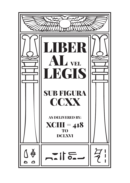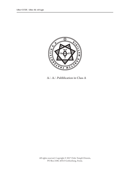

A. A. A. Pubblication in Class A

All rights reserved. Copyright © 2017 Ordo Templi Orientis, PO Box 2180, 40313 Gothenburg, Svezia.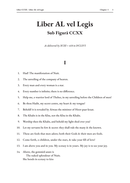# **Sub Figurâ CCXX Liber AL vel Legis**

*As delivered by XCIII = 418 to DCLXVI*

#### **I**

- 1. Had! The manifestation of Nuit.
- 2. The unveiling of the company of heaven.
- 3. Every man and every woman is a star.
- 4. Every number is infinite; there is no difference.
- 5. Help me, o warrior lord of Thebes, in my unveiling before the Children of men!
- 6. Be thou Hadit, my secret centre, my heart & my tongue!
- 7. Behold! it is revealed by Aiwass the minister of Hoor-paar-kraat.
- 8. The Khabs is in the Khu, not the Khu in the Khabs.
- 9. Worship then the Khabs, and behold my light shed over you!
- 10. Let my servants be few & secret: they shall rule the many & the known.
- 11. These are fools that men adore; both their Gods & their men are fools.
- 12. Come forth, o children, under the stars, & take your fill of love!
- 13. I am above you and in you. My ecstasy is in yours. My joy is to see your joy.
- 14. Above, the gemmèd azure is The naked splendour of Nuit; She bends in ecstasy to kiss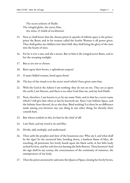The secret ardours of Hadit. The wingèd globe, the starry blue, Are mine, O Ankh-af-na-khonsu!

- 15. Now ye shall know that the chosen priest & apostle of infinite space is the princepriest the Beast; and in his woman called the Scarlet Woman is all power given. They shall gather my children into their fold: they shall bring the glory of the stars into the hearts of men.
- 16. For he is ever a sun, and she a moon. But to him is the winged secret flame, and to her the stooping starlight.
- 17. But ye are not so chosen.
- 18. Burn upon their brows, o splendrous serpent!
- 19. O azure-lidded woman, bend upon them!
- 20. The key of the rituals is in the secret word which I have given unto him.
- 21. With the God & the Adorer I am nothing: they do not see me. They are as upon the earth; I am Heaven, and there is no other God than me, and my lord Hadit.
- 22. Now, therefore, I am known to ye by my name Nuit, and to him by a secret name which I will give him when at last he knoweth me. Since I am Infinite Space, and the Infinite Stars thereof, do ye also thus. Bind nothing! Let there be no difference made among you between any one thing & any other thing; for thereby there cometh hurt.
- 23. But whoso availeth in this, let him be the chief of all!
- 24. I am Nuit, and my word is six and fifty.
- 25. Divide, add, multiply, and understand.
- 26. Then saith the prophet and slave of the beauteous one: Who am I, and what shall be the sign? So she answered him, bending down, a lambent flame of blue, alltouching, all penetrant, her lovely hands upon the black earth, & her lithe body arched for love, and her soft feet not hurting the little flowers: Thou knowest! And the sign shall be my ecstasy, the consciousness of the continuity of existence, the omnipresence of my body.
- 27. Then the priest answered & said unto the Queen of Space, kissing her lovely brows,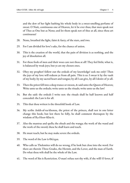and the dew of her light bathing his whole body in a sweet-smelling perfume of sweat: O Nuit, continuous one of Heaven, let it be ever thus; that men speak not of Thee as One but as None; and let them speak not of thee at all, since thou art continuous!

- 28. None, breathed the light, faint & faery, of the stars, and two.
- 29. For I am divided for love's sake, for the chance of union.
- 30. This is the creation of the world, that the pain of division is as nothing, and the joy of dissolution all.
- 31. For these fools of men and their woes care not thou at all! They feel little; what is, is balanced by weak joys; but ye are my chosen ones.
- 32. Obey my prophet! follow out the ordeals of my knowledge! seek me only! Then the joys of my love will redeem ye from all pain. This is so: I swear it by the vault of my body; by my sacred heart and tongue; by all I can give, by all I desire of ye all.
- 33. Then the priest fell into a deep trance or swoon, & said unto the Queen of Heaven; Write unto us the ordeals; write unto us the rituals; write unto us the law!
- 34. But she said: the ordeals I write not: the rituals shall be half known and half concealed: the Law is for all.
- 35. This that thou writest is the threefold book of Law.
- 36. My scribe Ankh-af-na-khonsu, the priest of the princes, shall not in one letter change this book; but lest there be folly, he shall comment thereupon by the wisdom of Ra-Hoor-Khu-it.
- 37. Also the mantras and spells; the obeah and the wanga; the work of the wand and the work of the sword; these he shall learn and teach.
- 38. He must teach; but he may make severe the ordeals.
- 39. The word of the Law is Θελημα.
- 40. Who calls us Thelemites will do no wrong, if he look but close into the word. For there are therein Three Grades, the Hermit, and the Lover, and the man of Earth. Do what thou wilt shall be the whole of the Law.
- 41. The word of Sin is Restriction. O man! refuse not thy wife, if she will! O lover, if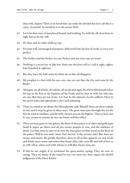thou wilt, depart! There is no bond that can unite the divided but love: all else is a curse. Accurséd! Accurséd be it to the aeons! Hell.

- 42. Let it be that state of manyhood bound and loathing. So with thy all; thou hast no right but to do thy will.
- 43. Do that, and no other shall say nay.
- 44. For pure will, unassuaged of purpose, delivered from the lust of result, is every way perfect.
- 45. The Perfect and the Perfect are one Perfect and not two; nay, are none!
- 46. Nothing is a secret key of this law. Sixty-one the Jews call it; I call it eight, eighty, four hundred & eighteen.
- 47. But they have the half: unite by thine art so that all disappear.
- 48. My prophet is a fool with his one, one, one; are not they the Ox, and none by the Book?
- 49. Abrogate are all rituals, all ordeals, all words and signs. Ra-Hoor-Khuit hath taken his seat in the East at the Equinox of the Gods; and let Asar be with Isa, who also are one. But they are not of me. Let Asar be the adorant, Isa the sufferer; Hoor in his secret name and splendour is the Lord initiating.
- 50. There is a word to say about the Hierophantic task. Behold! there are three ordeals in one, and it may be given in three ways. The gross must pass through fire; let the fine be tried in intellect, and the lofty chosen ones in the highest. Thus ye have star & star, system & system; let not one know well the other!
- 51. There are four gates to one palace; the floor of that palace is of silver and gold; lapis lazuli & jasper are there; and all rare scents; jasmine & rose, and the emblems of death. Let him enter in turn or at once the four gates; let him stand on the floor of the palace. Will he not sink? Amn. Ho! warrior, if thy servant sink? But there are means and means. Be goodly therefore: dress ye all in fine apparel; eat rich foods and drink sweet wines and wines that foam! Also, take your fill and will of love as ye will, when, where and with whom ye will! But always unto me.
- 52. If this be not aright; if ye confound the space-marks, saying: They are one; or saying, They are many; if the ritual be not ever unto me: then expect the direful judgments of Ra Hoor Khuit!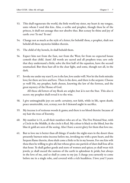- 53. This shall regenerate the world, the little world my sister, my heart & my tongue, unto whom I send this kiss. Also, o scribe and prophet, though thou be of the princes, it shall not assuage thee nor absolve thee. But ecstasy be thine and joy of earth: ever To me! To me!
- 54. Change not as much as the style of a letter; for behold! thou, o prophet, shalt not behold all these mysteries hidden therein.
- 55. The child of thy bowels, *he* shall behold them.
- 56. Expect him not from the East, nor from the West; for from no expected house cometh that child. Aum! All words are sacred and all prophets true; save only that they understand a little; solve the first half of the equation, leave the second unattacked. But thou hast all in the clear light, and some, though not all, in the dark.
- 57. Invoke me under my stars! Love is the law, love under will. Nor let the fools mistake love; for there are love and love. There is the dove, and there is the serpent. Choose ye well! He, my prophet, hath chosen, knowing the law of the fortress, and the great mystery of the House of God.

All these old letters of my Book are aright; but  $\Sigma$  is not the Star. This also is secret: my prophet shall reveal it to the wise.

- 58. I give unimaginable joys on earth: certainty, not faith, while in life, upon death; peace unutterable, rest, ecstasy; nor do I demand aught in sacrifice.
- 59. My incense is of resinous woods & gums; and there is no blood therein: because of my hair the trees of Eternity.
- 60. My number is 11, as all their numbers who are of us. The Five Pointed Star, with a Circle in the Middle, & the circle is Red. My colour is black to the blind, but the blue & gold are seen of the seeing. Also I have a secret glory for them that love me.
- 61. But to love me is better than all things: if under the night-stars in the desert thou presently burnest mine incense before me, invoking me with a pure heart, and the Serpent flame therein, thou shalt come a little to lie in my bosom. For one kiss wilt thou then be willing to give all; but whoso gives one particle of dust shall lose all in that hour. Ye shall gather goods and store of women and spices; ye shall wear rich jewels; ye shall exceed the nations of the earth in splendour & pride; but always in the love of me, and so shall ye come to my joy. I charge you earnestly to come before me in a single robe, and covered with a rich headdress. I love you! I yearn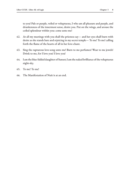to you! Pale or purple, veiled or voluptuous, I who am all pleasure and purple, and drunkenness of the innermost sense, desire you. Put on the wings, and arouse the coiled splendour within you: come unto me!

- 62. At all my meetings with you shall the priestess say— and her eyes shall burn with desire as she stands bare and rejoicing in my secret temple— To me! To me! calling forth the flame of the hearts of all in her love-chant.
- 63. Sing the rapturous love-song unto me! Burn to me perfumes! Wear to me jewels! Drink to me, for I love you! I love you!
- 64. I am the blue-lidded daughter of Sunset; I am the naked brilliance of the voluptuous night-sky.
- 65. To me! To me!
- 66. The Manifestation of Nuit is at an end.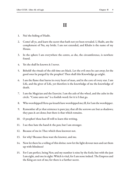### **II**

- 1. Nu! the hiding of Hadit.
- 2. Come! all ye, and learn the secret that hath not yet been revealed. I, Hadit, am the complement of Nu, my bride. I am not extended, and Khabs is the name of my House.
- 3. In the sphere I am everywhere the centre, as she, the circumference, is nowhere found.
- 4. Yet she shall be known & I never.
- 5. Behold! the rituals of the old time are black. Let the evil ones be cast away; let the good ones be purged by the prophet! Then shall this Knowledge go aright.
- 6. I am the flame that burns in every heart of man, and in the core of every star. I am Life, and the giver of Life, yet therefore is the knowledge of me the knowledge of death.
- 7. I am the Magician and the Exorcist. I am the axle of the wheel, and the cube in the circle. "Come unto me" is a foolish word: for it is I that go.
- 8. Who worshipped Heru-pa-kraath have worshipped me; ill, for I am the worshipper.
- 9. Remember all ye that existence is pure joy; that all the sorrows are but as shadows; they pass & are done; but there is that which remains.
- 10. O prophet! thou hast ill will to learn this writing.
- 11. I see thee hate the hand & the pen; but I am stronger.
- 12. Because of me in Thee which thou knewest not.
- 13. for why? Because thou wast the knower, and me.
- 14. Now let there be a veiling of this shrine: now let the light devour men and eat them up with blindness!
- 15. For I am perfect, being Not; and my number is nine by the fools; but with the just I am eight, and one in eight: Which is vital, for I am none indeed. The Empress and the King are not of me; for there is a further secret.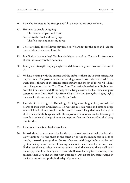- 16. I am The Empress & the Hierophant. Thus eleven, as my bride is eleven.
- 17. Hear me, ye people of sighing! The sorrows of pain and regret Are left to the dead and the dying, The folk that not know me as yet.
- 18. These are dead, these fellows; they feel not. We are not for the poor and sad: the lords of the earth are our kinsfolk.
- 19. Is a God to live in a dog? No! but the highest are of us. They shall rejoice, our chosen: who sorroweth is not of us.
- 20. Beauty and strength, leaping laughter and delicious languor, force and fire, are of us.
- 21. We have nothing with the outcast and the unfit: let them die in their misery. For they feel not. Compassion is the vice of kings: stamp down the wretched & the weak: this is the law of the strong: this is our law and the joy of the world. Think not, o king, upon that lie: That Thou Must Die: verily thou shalt not die, but live. Now let it be understood: If the body of the King dissolve, he shall remain in pure ecstasy for ever. Nuit! Hadit! Ra-Hoor-Khuit! The Sun, Strength & Sight, Light; these are for the servants of the Star & the Snake.
- 22. I am the Snake that giveth Knowledge & Delight and bright glory, and stir the hearts of men with drunkenness. To worship me take wine and strange drugs whereof I will tell my prophet, & be drunk thereof! They shall not harm ye at all. It is a lie, this folly against self. The exposure of innocence is a lie. Be strong, o man! lust, enjoy all things of sense and rapture: fear not that any God shall deny thee for this.
- 23. I am alone: there is no God where I am.
- 24. Behold! these be grave mysteries; for there are also of my friends who be hermits. Now think not to find them in the forest or on the mountain; but in beds of purple, caressed by magnificent beasts of women with large limbs, and fire and light in their eyes, and masses of flaming hair about them; there shall ye find them. Ye shall see them at rule, at victorious armies, at all the joy; and there shall be in them a joy a million times greater than this. Beware lest any force another, King against King! Love one another with burning hearts; on the low men trample in the fierce lust of your pride, in the day of your wrath.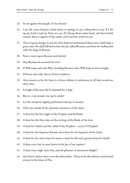- 25. Ye are against the people, O my chosen!
- 26. I am the secret Serpent coiled about to spring: in my coiling there is joy. If I lift up my head, I and my Nuit are one. If I droop down mine head, and shoot forth venom, then is rapture of the earth, and I and the earth are one.
- 27. There is great danger in me; for who doth not understand these runes shall make a great miss. He shall fall down into the pit called Because, and there he shall perish with the dogs of Reason.
- 28. Now a curse upon Because and his kin!
- 29. May Because be accursèd for ever!
- 30. If Will stops and cries Why, invoking Because, then Will stops & does nought.
- 31. If Power asks why, then is Power weakness.
- 32. Also reason is a lie; for there is a factor infinite & unknown; & all their words are skew-wise.
- 33. Enough of Because! Be he damned for a dog!
- 34. But ye, o my people, rise up & awake!
- 35. Let the rituals be rightly performed with joy & beauty!
- 36. There are rituals of the elements and feasts of the times.
- 37. A feast for the first night of the Prophet and his Bride!
- 38. A feast for the three days of the writing of the Book of the Law.
- 39. A feast for Tahuti and the child of the Prophet— secret, O Prophet!
- 40. A feast for the Supreme Ritual, and a feast for the Equinox of the Gods.
- 41. A feast for fire and a feast for water; a feast for life and a greater feast for death!
- 42. A feast every day in your hearts in the joy of my rapture!
- 43. A feast every night unto Nu, and the pleasure of uttermost delight!
- 44. Aye! feast! rejoice! there is no dread hereafter. There is the dissolution, and eternal ecstasy in the kisses of Nu.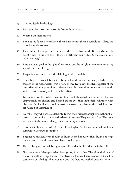- 45. There is death for the dogs.
- 46. Dost thou fail? Art thou sorry? Is fear in thine heart?
- 47. Where I am these are not.
- 48. Pity not the fallen! I never knew them. I am not for them. I console not: I hate the consoled & the consoler.
- 49. I am unique & conqueror. I am not of the slaves that perish. Be they damned & dead! Amen. (This is of the 4: there is a fifth who is invisible, & therein am I as a babe in an egg.)
- 50. Blue am I and gold in the light of my bride: but the red gleam is in my eyes; & my spangles are purple & green.
- 51. Purple beyond purple: it is the light higher than eyesight.
- 52. There is a veil: that veil is black. It is the veil of the modest woman; it is the veil of sorrow, & the pall of death: this is none of me. Tear down that lying spectre of the centuries: veil not your vices in virtuous words: these vices are my service; ye do well, & I will reward you here and hereafter.
- 53. Fear not, o prophet, when these words are said, thou shalt not be sorry. Thou art emphatically my chosen; and blessed are the eyes that thou shalt look upon with gladness. But I will hide thee in a mask of sorrow: they that see thee shall fear thou art fallen: but I lift thee up.
- 54. Nor shall they who cry aloud their folly that thou meanest nought avail; thou shall reveal it: thou availest: they are the slaves of because: They are not of me. The stops as thou wilt; the letters? change them not in style or value!
- 55. Thou shalt obtain the order & value of the English Alphabet; thou shalt find new symbols to attribute them unto.
- 56. Begone! ye mockers; even though ye laugh in my honour ye shall laugh not long: then when ye are sad know that I have forsaken you.
- 57. He that is righteous shall be righteous still; he that is filthy shall be filthy still.
- 58. Yea! deem not of change: ye shall be as ye are, & not other. Therefore the kings of the earth shall be Kings for ever: the slaves shall serve. There is none that shall be cast down or lifted up: all is ever as it was. Yet there are masked ones my servants: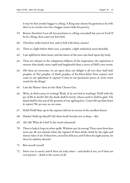it may be that yonder beggar is a King. A King may choose his garment as he will: there is no certain test: but a beggar cannot hide his poverty.

- 59. Beware therefore! Love all, lest perchance is a King concealed! Say you so? Fool! If he be a King, thou canst not hurt him.
- 60. Therefore strike hard & low, and to hell with them, master!
- 61. There is a light before thine eyes, o prophet, a light undesired, most desirable.
- 62. I am uplifted in thine heart; and the kisses of the stars rain hard upon thy body.
- 63. Thou art exhaust in the voluptuous fullness of the inspiration; the expiration is sweeter than death, more rapid and laughterful than a caress of Hell's own worm.
- 64. Oh! thou art overcome: we are upon thee; our delight is all over thee: hail! hail: prophet of Nu! prophet of Had! prophet of Ra-Hoor-Khu! Now rejoice! now come in our splendour & rapture! Come in our passionate peace, & write sweet words for the Kings!
- 65. I am the Master: thou art the Holy Chosen One.
- 66. Write, & find ecstasy in writing! Work, & be our bed in working! Thrill with the joy of life & death! Ah! thy death shall be lovely: whoso seeth it shall be glad. Thy death shall be the seal of the promise of our agelong love. Come! lift up thine heart & rejoice! We are one; we are none.
- 67. Hold! Hold! Bear up in thy rapture; fall not in swoon of the excellent kisses!
- 68. Harder! Hold up thyself! Lift thine head! breathe not so deep— die!
- 69. Ah! Ah! What do I feel? Is the word exhausted?
- 70. There is help & hope in other spells. Wisdom says: be strong! Then canst thou bear more joy. Be not animal; refine thy rapture! If thou drink, drink by the eight and ninety rules of art: if thou love, exceed by delicacy; and if thou do aught joyous, let there be subtlety therein!
- 71. But exceed! exceed!
- 72. Strive ever to more! and if thou art truly mine— and doubt it not, an if thou art ever joyous!— death is the crown of all.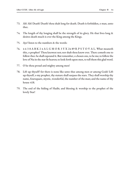- 73. Ah! Ah! Death! Death! thou shalt long for death. Death is forbidden, o man, unto thee.
- 74. The length of thy longing shall be the strength of its glory. He that lives long & desires death much is ever the King among the Kings.
- 75. Aye! listen to the numbers & the words:
- 76. 4 6 3 8 A B K 2 4 A L G M O R 3 Y X 24 89 R P S T O V A L. What meaneth this, o prophet? Thou knowest not; nor shalt thou know ever. There cometh one to follow thee: he shall expound it. But remember, o chosen one, to be me; to follow the love of Nu in the star-lit heaven; to look forth upon men, to tell them this glad word.
- 77. O be thou proud and mighty among men!
- 78. Lift up thyself! for there is none like unto thee among men or among Gods! Lift up thyself, o my prophet, thy stature shall surpass the stars. They shall worship thy name, foursquare, mystic, wonderful, the number of the man; and the name of thy house 418.
- 79. The end of the hiding of Hadit; and blessing & worship to the prophet of the lovely Star!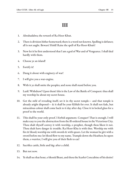## **III**

- 1. Abrahadabra; the reward of Ra Hoor Khut.
- 2. There is division hither homeward; there is a word not known. Spelling is defunct; all is not aught. Beware! Hold! Raise the spell of Ra-Hoor-Khuit!
- 3. Now let it be first understood that I am a god of War and of Vengeance. I shall deal hardly with them.
- 4. Choose ye an island!
- 5. Fortify it!
- 6. Dung it about with enginery of war!
- 7. I will give you a war-engine.
- 8. With it ye shall smite the peoples; and none shall stand before you.
- 9. Lurk! Withdraw! Upon them! this is the Law of the Battle of Conquest: thus shall my worship be about my secret house.
- 10. Get the stélé of revealing itself; set it in thy secret temple— and that temple is already aright disposed— & it shall be your Kiblah for ever. It shall not fade, but miraculous colour shall come back to it day after day. Close it in locked glass for a proof to the world.
- 11. This shall be your only proof. I forbid argument. Conquer! That is enough. I will make easy to you the abstruction from the ill-ordered house in the Victorious City. Thou shalt thyself convey it with worship, o prophet, though thou likest it not. Thou shalt have danger & trouble. Ra-Hoor-Khu is with thee. Worship me with fire & blood; worship me with swords & with spears. Let the woman be girt with a sword before me: let blood flow to my name. Trample down the Heathen; be upon them, o warrior, I will give you of their flesh to eat!
- 12. Sacrifice cattle, little and big: after a child.
- 13. But not now.
- 14. Ye shall see that hour, o blessèd Beast, and thou the Scarlet Concubine of his desire!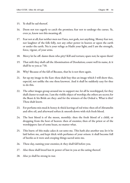- 15. Ye shall be sad thereof.
- 16. Deem not too eagerly to catch the promises; fear not to undergo the curses. Ye, even ye, know not this meaning all.
- 17. Fear not at all; fear neither men nor Fates, nor gods, nor anything. Money fear not, nor laughter of the folk folly, nor any other power in heaven or upon the earth or under the earth. Nu is your refuge as Hadit your light; and I am the strength, force, vigour, of your arms.
- 18. Mercy let be off: damn them who pity! Kill and torture; spare not; be upon them!
- 19. That stélé they shall call the Abomination of Desolation; count well its name, & it shall be to you as 718.
- 20. Why? Because of the fall of Because, that he is not there again.
- 21. Set up my image in the East: thou shalt buy thee an image which I will show thee, especial, not unlike the one thou knowest. And it shall be suddenly easy for thee to do this.
- 22. The other images group around me to support me: let all be worshipped, for they shall cluster to exalt me. I am the visible object of worship; the others are secret; for the Beast & his Bride are they: and for the winners of the Ordeal x. What is this? Thou shalt know.
- 23. For perfume mix meal & honey & thick leavings of red wine: then oil of Abramelin and olive oil, and afterward soften & smooth down with rich fresh blood.
- 24. The best blood is of the moon, monthly: then the fresh blood of a child, or dropping from the host of heaven: then of enemies; then of the priest or of the worshippers: last of some beast, no matter what.
- 25. This burn: of this make cakes & eat unto me. This hath also another use; let it be laid before me, and kept thick with perfumes of your orison: it shall become full of beetles as it were and creeping things sacred unto me.
- 26. These slay, naming your enemies; & they shall fall before you.
- 27. Also these shall breed lust & power of lust in you at the eating thereof.
- 28. Also ye shall be strong in war.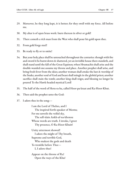- 29. Moreover, be they long kept, it is better; for they swell with my force. All before me.
- 30. My altar is of open brass work: burn thereon in silver or gold!
- 31. There cometh a rich man from the West who shall pour his gold upon thee.
- 32. From gold forge steel!
- 33. Be ready to fly or to smite!
- 34. But your holy place shall be untouched throughout the centuries: though with fire and sword it be burnt down & shattered, yet an invisible house there standeth, and shall stand until the fall of the Great Equinox; when Hrumachis shall arise and the double-wanded one assume my throne and place. Another prophet shall arise, and bring fresh fever from the skies; another woman shall awake the lust & worship of the Snake; another soul of God and beast shall mingle in the globèd priest; another sacrifice shall stain the tomb; another king shall reign; and blessing no longer be poured To the Hawk-headed mystical Lord!
- 35. The half of the word of Heru-ra-ha, called Hoor-pa-kraat and Ra-Hoor-Khut.
- 36. Then said the prophet unto the God:
- 37. I adore thee in the song:—

I am the Lord of Thebes, and I The inspired forth-speaker of Mentu; For me unveils the veilèd sky, The self-slain Ankh-af-na-khonsu Whose words are truth. I invoke, I greet Thy presence, O Ra-Hoor-Khuit!

Unity uttermost showed!

I adore the might of Thy breath,

Supreme and terrible God,

Who makest the gods and death

To tremble before Thee—

I, I adore thee!

Appear on the throne of Ra! Open the ways of the Khu!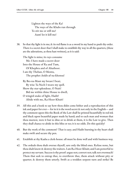Lighten the ways of the Ka! The ways of the Khabs run through To stir me or still me! Aum! let it kill me!

- 38. So that thy light is in me; & its red flame is as a sword in my hand to push thy order. There is a secret door that I shall make to establish thy way in all the quarters, (these are the adorations, as thou hast written), as it is said:
	- The light is mine; its rays consume Me: I have made a secret door Into the House of Ra and Tum, Of Khephra and of Ahathoor. I am thy Theban, O Mentu, The prophet Ankh-af-na-khonsu!
	- By Bes-na-Maut my breast I beat; By wise Ta-Nech I weave my spell. Show thy star-splendour, O Nuit! Bid me within thine House to dwell,
	- O wingèd snake of light, Hadit! Abide with me, Ra-Hoor-Khuit!
- 39. All this and a book to say how thou didst come hither and a reproduction of this ink and paper for ever— for in it is the word secret & not only in the English— and thy comment upon this the Book of the Law shall be printed beautifully in red ink and black upon beautiful paper made by hand; and to each man and woman that thou meetest, were it but to dine or to drink at them, it is the Law to give. Then they shall chance to abide in this bliss or no; it is no odds. Do this quickly!
- 40. But the work of the comment? That is easy; and Hadit burning in thy heart shall make swift and secure thy pen.
- 41. Establish at thy Kaaba a clerk-house: all must be done well and with business way.
- 42. The ordeals thou shalt oversee thyself, save only the blind ones. Refuse none, but thou shalt know & destroy the traitors. I am Ra-Hoor-Khuit; and I am powerful to protect my servant. Success is thy proof: argue not; convert not; talk not overmuch! Them that seek to entrap thee, to overthrow thee, them attack without pity or quarter; & destroy them utterly. Swift as a trodden serpent turn and strike! Be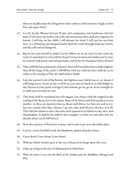thou yet deadlier than he! Drag down their souls to awful torment: laugh at their fear: spit upon them!

- 43. Let the Scarlet Woman beware! If pity and compassion and tenderness visit her heart; if she leave my work to toy with old sweetnesses; then shall my vengeance be known. I will slay me her child: I will alienate her heart: I will cast her out from men: as a shrinking and despised harlot shall she crawl through dusk wet streets, and die cold and an-hungered.
- 44. But let her raise herself in pride! Let her follow me in my way! Let her work the work of wickedness! Let her kill her heart! Let her be loud and adulterous! Let her be covered with jewels, and rich garments, and let her be shameless before all men!
- 45. Then will I lift her to pinnacles of power: then will I breed from her a child mightier than all the kings of the earth. I will fill her with joy: with my force shall she see & strike at the worship of Nu: she shall achieve Hadit.
- 46. I am the warrior Lord of the Forties: the Eighties cower before me, & are abased. I will bring you to victory & joy: I will be at your arms in battle & ye shall delight to slay. Success is your proof; courage is your armour; go on, go on, in my strength; & ye shall turn not back for any!
- 47. This book shall be translated into all tongues: but always with the original in the writing of the Beast; for in the chance shape of the letters and their position to one another: in these are mysteries that no Beast shall divine. Let him not seek to try: but one cometh after him, whence I say not, who shall discover the Key of it all. Then this line drawn is a key: then this circle squared in its failure is a key also. And Abrahadabra. It shall be his child & that strangely. Let him not seek after this; for thereby alone can he fall from it.
- 48. Now this mystery of the letters is done, and I want to go on to the holier place.
- 49. I am in a secret fourfold word, the blasphemy against all gods of men.
- 50. Curse them! Curse them! Curse them!
- 51. With my Hawk's head I peck at the eyes of Jesus as he hangs upon the cross.
- 52. I flap my wings in the face of Mohammed & blind him.
- 53. With my claws I tear out the flesh of the Indian and the Buddhist, Mongol and Din.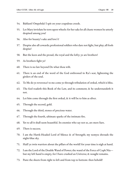- 54. Bahlasti! Ompehda! I spit on your crapulous creeds.
- 55. Let Mary inviolate be torn upon wheels: for her sake let all chaste women be utterly despised among you!
- 56. Also for beauty's sake and love's!
- 57. Despise also all cowards; professional soldiers who dare not fight, but play; all fools despise!
- 58. But the keen and the proud, the royal and the lofty; ye are brothers!
- 59. As brothers fight ye!
- 60. There is no law beyond Do what thou wilt.
- 61. There is an end of the word of the God enthroned in Ra's seat, lightening the girders of the soul.
- 62. To Me do ye reverence! to me come ye through tribulation of ordeal, which is bliss.
- 63. The fool readeth this Book of the Law, and its comment; & he understandeth it not.
- 64. Let him come through the first ordeal, & it will be to him as silver.
- 65. Through the second, gold.
- 66. Through the third, stones of precious water.
- 67. Through the fourth, ultimate sparks of the intimate fire.
- 68. Yet to all it shall seem beautiful. Its enemies who say not so, are mere liars.
- 69. There is success.
- 70. I am the Hawk-Headed Lord of Silence & of Strength; my nemyss shrouds the night-blue sky.
- 71. Hail! ye twin warriors about the pillars of the world! for your time is nigh at hand.
- 72. I am the Lord of the Double Wand of Power; the wand of the Force of Coph Nia but my left hand is empty, for I have crushed an Universe; & nought remains.
- 73. Paste the sheets from right to left and from top to bottom: then behold!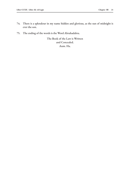- 74. There is a splendour in my name hidden and glorious, as the sun of midnight is ever the son.
- 75. The ending of the words is the Word Abrahadabra.

The Book of the Law is Written and Concealed. Aum. Ha.